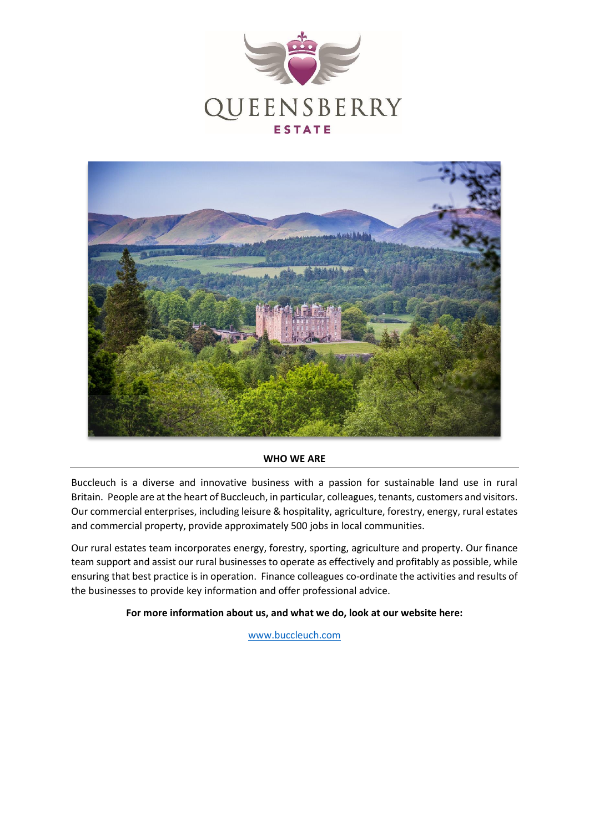



#### **WHO WE ARE**

Buccleuch is a diverse and innovative business with a passion for sustainable land use in rural Britain. People are at the heart of Buccleuch, in particular, colleagues, tenants, customers and visitors. Our commercial enterprises, including leisure & hospitality, agriculture, forestry, energy, rural estates and commercial property, provide approximately 500 jobs in local communities.

Our rural estates team incorporates energy, forestry, sporting, agriculture and property. Our finance team support and assist our rural businesses to operate as effectively and profitably as possible, while ensuring that best practice is in operation. Finance colleagues co-ordinate the activities and results of the businesses to provide key information and offer professional advice.

**For more information about us, and what we do, look at our website here:**

[www.buccleuch.com](http://www.buccleuch.com/)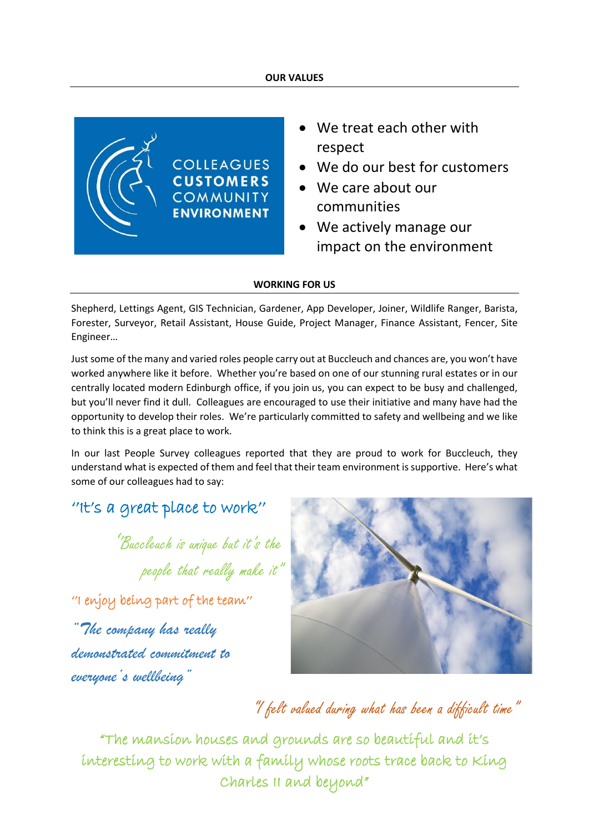#### **OUR VALUES**



- We treat each other with respect
- We do our best for customers
- We care about our communities
- We actively manage our impact on the environment

#### **WORKING FOR US**

Shepherd, Lettings Agent, GIS Technician, Gardener, App Developer, Joiner, Wildlife Ranger, Barista, Forester, Surveyor, Retail Assistant, House Guide, Project Manager, Finance Assistant, Fencer, Site Engineer…

Just some of the many and varied roles people carry out at Buccleuch and chances are, you won't have worked anywhere like it before. Whether you're based on one of our stunning rural estates or in our centrally located modern Edinburgh office, if you join us, you can expect to be busy and challenged, but you'll never find it dull. Colleagues are encouraged to use their initiative and many have had the opportunity to develop their roles. We're particularly committed to safety and wellbeing and we like to think this is a great place to work.

In our last People Survey colleagues reported that they are proud to work for Buccleuch, they understand what is expected of them and feel that their team environment is supportive. Here's what some of our colleagues had to say:

## ''It's a great place to work''

''Buccleuch is unique but it's the people that really make it"

''I enjoy being part of the team''

*"The company has really demonstrated commitment to everyone's wellbeing"*



# "I felt valued during what has been a difficult time"

"The mansion houses and grounds are so beautiful and it's interesting to work with a family whose roots trace back to King Charles II and beyond"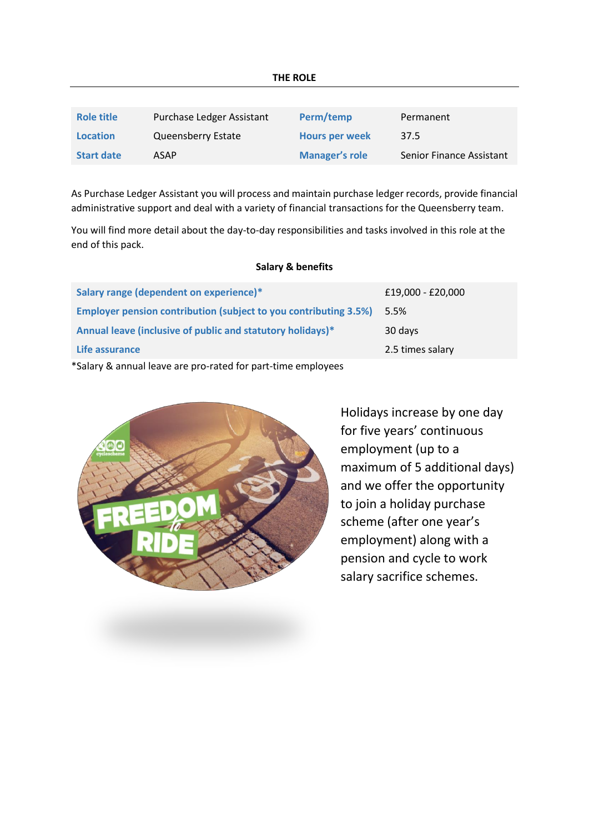| Role title        | Purchase Ledger Assistant | Perm/temp             | Permanent                |
|-------------------|---------------------------|-----------------------|--------------------------|
| <b>Location</b>   | Queensberry Estate        | <b>Hours per week</b> | 37.5                     |
| <b>Start date</b> | ASAP                      | <b>Manager's role</b> | Senior Finance Assistant |

As Purchase Ledger Assistant you will process and maintain purchase ledger records, provide financial administrative support and deal with a variety of financial transactions for the Queensberry team.

You will find more detail about the day-to-day responsibilities and tasks involved in this role at the end of this pack.

#### **Salary & benefits**

| Salary range (dependent on experience)*                                                                                                                                                                                          | £19,000 - £20,000 |  |  |
|----------------------------------------------------------------------------------------------------------------------------------------------------------------------------------------------------------------------------------|-------------------|--|--|
| <b>Employer pension contribution (subject to you contributing 3.5%)</b>                                                                                                                                                          | 5.5%              |  |  |
| Annual leave (inclusive of public and statutory holidays)*                                                                                                                                                                       | 30 days           |  |  |
| Life assurance                                                                                                                                                                                                                   | 2.5 times salary  |  |  |
| $\star$ exclusive for a set of the second contract of the set of the second second second second second second second second second second second second second second second second second second second second second second s |                   |  |  |

\*Salary & annual leave are pro-rated for part-time employees



Holidays increase by one day for five years' continuous employment (up to a maximum of 5 additional days) and we offer the opportunity to join a holiday purchase scheme (after one year's employment) along with a pension and cycle to work salary sacrifice schemes.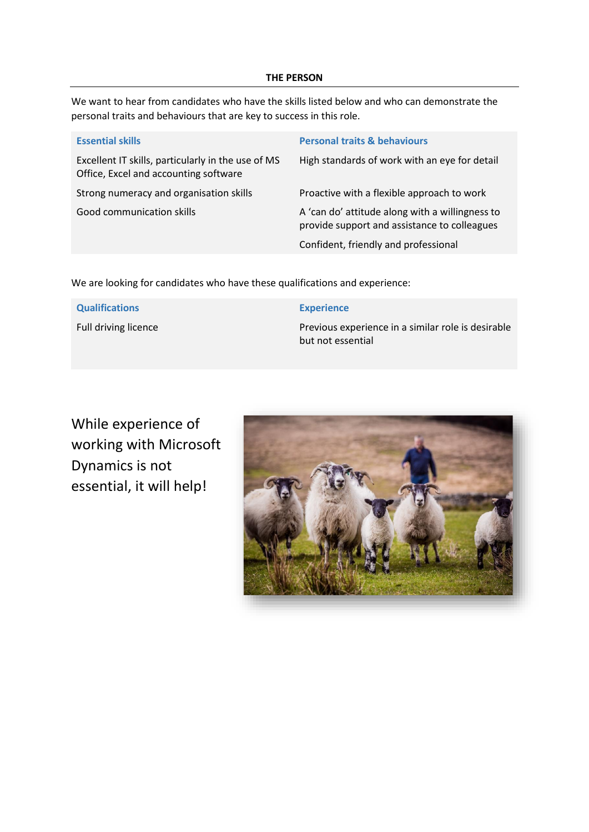#### **THE PERSON**

We want to hear from candidates who have the skills listed below and who can demonstrate the personal traits and behaviours that are key to success in this role.

| <b>Essential skills</b>                                                                     | <b>Personal traits &amp; behaviours</b>                                                         |  |
|---------------------------------------------------------------------------------------------|-------------------------------------------------------------------------------------------------|--|
| Excellent IT skills, particularly in the use of MS<br>Office, Excel and accounting software | High standards of work with an eye for detail                                                   |  |
| Strong numeracy and organisation skills                                                     | Proactive with a flexible approach to work                                                      |  |
| Good communication skills                                                                   | A 'can do' attitude along with a willingness to<br>provide support and assistance to colleagues |  |
|                                                                                             | Confident, friendly and professional                                                            |  |

We are looking for candidates who have these qualifications and experience:

| <b>Qualifications</b> | <b>Experience</b>                                  |  |
|-----------------------|----------------------------------------------------|--|
| Full driving licence  | Previous experience in a similar role is desirable |  |
|                       | but not essential                                  |  |

While experience of working with Microsoft Dynamics is not essential, it will help!